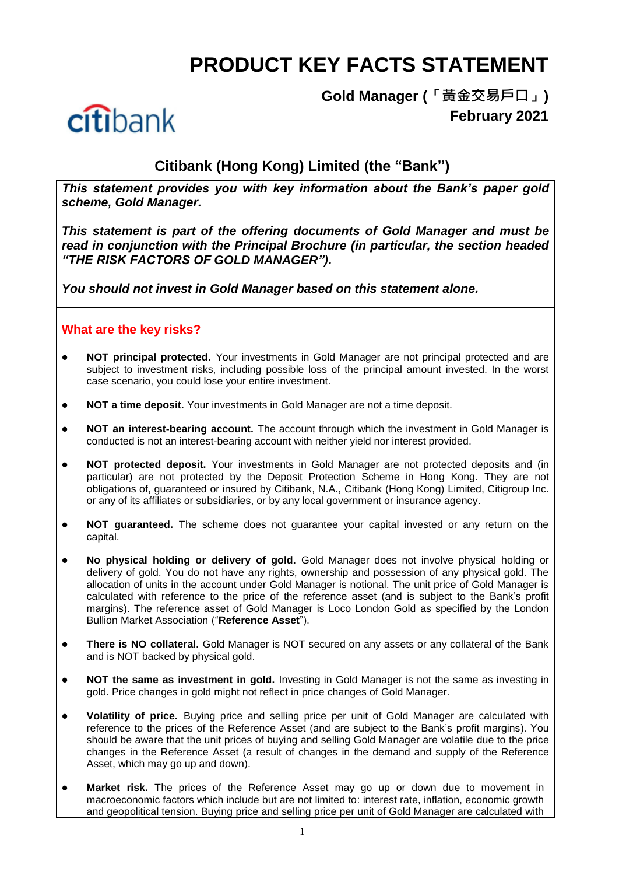# **PRODUCT KEY FACTS STATEMENT**



**Gold Manager (「黃金交易戶口」) February 2021**

# **Citibank (Hong Kong) Limited (the "Bank")**

*This statement provides you with key information about the Bank's paper gold scheme, Gold Manager.*

*This statement is part of the offering documents of Gold Manager and must be read in conjunction with the Principal Brochure (in particular, the section headed "THE RISK FACTORS OF GOLD MANAGER").*

*You should not invest in Gold Manager based on this statement alone.*

## **What are the key risks?**

- **NOT principal protected.** Your investments in Gold Manager are not principal protected and are subject to investment risks, including possible loss of the principal amount invested. In the worst case scenario, you could lose your entire investment.
- **NOT a time deposit.** Your investments in Gold Manager are not a time deposit.
- **NOT an interest-bearing account.** The account through which the investment in Gold Manager is conducted is not an interest-bearing account with neither yield nor interest provided.
- **NOT protected deposit.** Your investments in Gold Manager are not protected deposits and (in particular) are not protected by the Deposit Protection Scheme in Hong Kong. They are not obligations of, guaranteed or insured by Citibank, N.A., Citibank (Hong Kong) Limited, Citigroup Inc. or any of its affiliates or subsidiaries, or by any local government or insurance agency.
- **NOT guaranteed.** The scheme does not guarantee your capital invested or any return on the capital.
- **No physical holding or delivery of gold.** Gold Manager does not involve physical holding or delivery of gold. You do not have any rights, ownership and possession of any physical gold. The allocation of units in the account under Gold Manager is notional. The unit price of Gold Manager is calculated with reference to the price of the reference asset (and is subject to the Bank's profit margins). The reference asset of Gold Manager is Loco London Gold as specified by the London Bullion Market Association ("**Reference Asset**").
- **There is NO collateral.** Gold Manager is NOT secured on any assets or any collateral of the Bank and is NOT backed by physical gold.
- **NOT the same as investment in gold.** Investing in Gold Manager is not the same as investing in gold. Price changes in gold might not reflect in price changes of Gold Manager.
- **Volatility of price.** Buying price and selling price per unit of Gold Manager are calculated with reference to the prices of the Reference Asset (and are subject to the Bank's profit margins). You should be aware that the unit prices of buying and selling Gold Manager are volatile due to the price changes in the Reference Asset (a result of changes in the demand and supply of the Reference Asset, which may go up and down).
- **Market risk.** The prices of the Reference Asset may go up or down due to movement in macroeconomic factors which include but are not limited to: interest rate, inflation, economic growth and geopolitical tension. Buying price and selling price per unit of Gold Manager are calculated with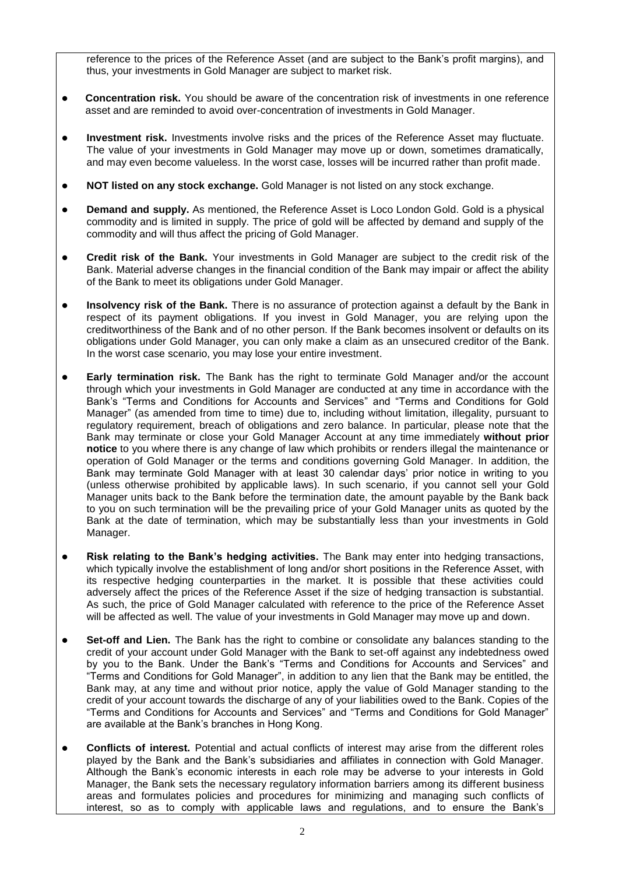reference to the prices of the Reference Asset (and are subject to the Bank's profit margins), and thus, your investments in Gold Manager are subject to market risk.

- **Concentration risk.** You should be aware of the concentration risk of investments in one reference asset and are reminded to avoid over-concentration of investments in Gold Manager.
- **Investment risk.** Investments involve risks and the prices of the Reference Asset may fluctuate. The value of your investments in Gold Manager may move up or down, sometimes dramatically, and may even become valueless. In the worst case, losses will be incurred rather than profit made.
- **NOT listed on any stock exchange.** Gold Manager is not listed on any stock exchange.
- **Demand and supply.** As mentioned, the Reference Asset is Loco London Gold. Gold is a physical commodity and is limited in supply. The price of gold will be affected by demand and supply of the commodity and will thus affect the pricing of Gold Manager.
- **Credit risk of the Bank.** Your investments in Gold Manager are subject to the credit risk of the Bank. Material adverse changes in the financial condition of the Bank may impair or affect the ability of the Bank to meet its obligations under Gold Manager.
- **Insolvency risk of the Bank.** There is no assurance of protection against a default by the Bank in respect of its payment obligations. If you invest in Gold Manager, you are relying upon the creditworthiness of the Bank and of no other person. If the Bank becomes insolvent or defaults on its obligations under Gold Manager, you can only make a claim as an unsecured creditor of the Bank. In the worst case scenario, you may lose your entire investment.
- **Early termination risk.** The Bank has the right to terminate Gold Manager and/or the account through which your investments in Gold Manager are conducted at any time in accordance with the Bank's "Terms and Conditions for Accounts and Services" and "Terms and Conditions for Gold Manager" (as amended from time to time) due to, including without limitation, illegality, pursuant to regulatory requirement, breach of obligations and zero balance. In particular, please note that the Bank may terminate or close your Gold Manager Account at any time immediately **without prior notice** to you where there is any change of law which prohibits or renders illegal the maintenance or operation of Gold Manager or the terms and conditions governing Gold Manager. In addition, the Bank may terminate Gold Manager with at least 30 calendar days' prior notice in writing to you (unless otherwise prohibited by applicable laws). In such scenario, if you cannot sell your Gold Manager units back to the Bank before the termination date, the amount payable by the Bank back to you on such termination will be the prevailing price of your Gold Manager units as quoted by the Bank at the date of termination, which may be substantially less than your investments in Gold Manager.
- **Risk relating to the Bank's hedging activities.** The Bank may enter into hedging transactions, which typically involve the establishment of long and/or short positions in the Reference Asset, with its respective hedging counterparties in the market. It is possible that these activities could adversely affect the prices of the Reference Asset if the size of hedging transaction is substantial. As such, the price of Gold Manager calculated with reference to the price of the Reference Asset will be affected as well. The value of your investments in Gold Manager may move up and down.
- **Set-off and Lien.** The Bank has the right to combine or consolidate any balances standing to the credit of your account under Gold Manager with the Bank to set-off against any indebtedness owed by you to the Bank. Under the Bank's "Terms and Conditions for Accounts and Services" and "Terms and Conditions for Gold Manager", in addition to any lien that the Bank may be entitled, the Bank may, at any time and without prior notice, apply the value of Gold Manager standing to the credit of your account towards the discharge of any of your liabilities owed to the Bank. Copies of the "Terms and Conditions for Accounts and Services" and "Terms and Conditions for Gold Manager" are available at the Bank's branches in Hong Kong.
- **Conflicts of interest.** Potential and actual conflicts of interest may arise from the different roles played by the Bank and the Bank's subsidiaries and affiliates in connection with Gold Manager. Although the Bank's economic interests in each role may be adverse to your interests in Gold Manager, the Bank sets the necessary regulatory information barriers among its different business areas and formulates policies and procedures for minimizing and managing such conflicts of interest, so as to comply with applicable laws and regulations, and to ensure the Bank's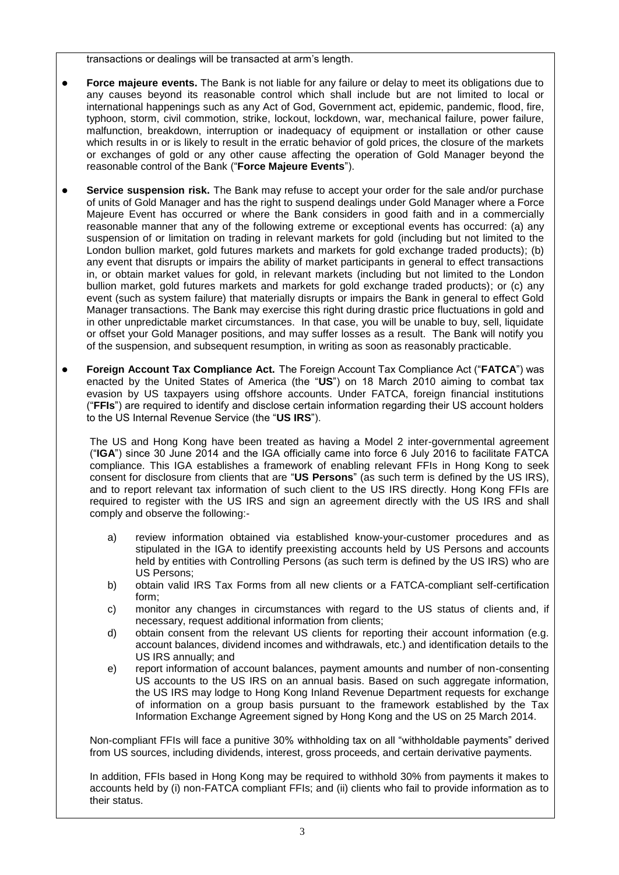transactions or dealings will be transacted at arm's length.

- **Force majeure events.** The Bank is not liable for any failure or delay to meet its obligations due to any causes beyond its reasonable control which shall include but are not limited to local or international happenings such as any Act of God, Government act, epidemic, pandemic, flood, fire, typhoon, storm, civil commotion, strike, lockout, lockdown, war, mechanical failure, power failure, malfunction, breakdown, interruption or inadequacy of equipment or installation or other cause which results in or is likely to result in the erratic behavior of gold prices, the closure of the markets or exchanges of gold or any other cause affecting the operation of Gold Manager beyond the reasonable control of the Bank ("**Force Majeure Events**").
- **Service suspension risk.** The Bank may refuse to accept your order for the sale and/or purchase of units of Gold Manager and has the right to suspend dealings under Gold Manager where a Force Majeure Event has occurred or where the Bank considers in good faith and in a commercially reasonable manner that any of the following extreme or exceptional events has occurred: (a) any suspension of or limitation on trading in relevant markets for gold (including but not limited to the London bullion market, gold futures markets and markets for gold exchange traded products); (b) any event that disrupts or impairs the ability of market participants in general to effect transactions in, or obtain market values for gold, in relevant markets (including but not limited to the London bullion market, gold futures markets and markets for gold exchange traded products); or (c) any event (such as system failure) that materially disrupts or impairs the Bank in general to effect Gold Manager transactions. The Bank may exercise this right during drastic price fluctuations in gold and in other unpredictable market circumstances. In that case, you will be unable to buy, sell, liquidate or offset your Gold Manager positions, and may suffer losses as a result. The Bank will notify you of the suspension, and subsequent resumption, in writing as soon as reasonably practicable.
- **Foreign Account Tax Compliance Act.** The Foreign Account Tax Compliance Act ("**FATCA**") was enacted by the United States of America (the "**US**") on 18 March 2010 aiming to combat tax evasion by US taxpayers using offshore accounts. Under FATCA, foreign financial institutions ("**FFIs**") are required to identify and disclose certain information regarding their US account holders to the US Internal Revenue Service (the "**US IRS**").

The US and Hong Kong have been treated as having a Model 2 inter-governmental agreement ("**IGA**") since 30 June 2014 and the IGA officially came into force 6 July 2016 to facilitate FATCA compliance. This IGA establishes a framework of enabling relevant FFIs in Hong Kong to seek consent for disclosure from clients that are "**US Persons**" (as such term is defined by the US IRS), and to report relevant tax information of such client to the US IRS directly. Hong Kong FFIs are required to register with the US IRS and sign an agreement directly with the US IRS and shall comply and observe the following:-

- a) review information obtained via established know-your-customer procedures and as stipulated in the IGA to identify preexisting accounts held by US Persons and accounts held by entities with Controlling Persons (as such term is defined by the US IRS) who are US Persons;
- b) obtain valid IRS Tax Forms from all new clients or a FATCA-compliant self-certification form;
- c) monitor any changes in circumstances with regard to the US status of clients and, if necessary, request additional information from clients;
- d) obtain consent from the relevant US clients for reporting their account information (e.g. account balances, dividend incomes and withdrawals, etc.) and identification details to the US IRS annually; and
- e) report information of account balances, payment amounts and number of non-consenting US accounts to the US IRS on an annual basis. Based on such aggregate information, the US IRS may lodge to Hong Kong Inland Revenue Department requests for exchange of information on a group basis pursuant to the framework established by the Tax Information Exchange Agreement signed by Hong Kong and the US on 25 March 2014.

Non-compliant FFIs will face a punitive 30% withholding tax on all "withholdable payments" derived from US sources, including dividends, interest, gross proceeds, and certain derivative payments.

In addition, FFIs based in Hong Kong may be required to withhold 30% from payments it makes to accounts held by (i) non-FATCA compliant FFIs; and (ii) clients who fail to provide information as to their status.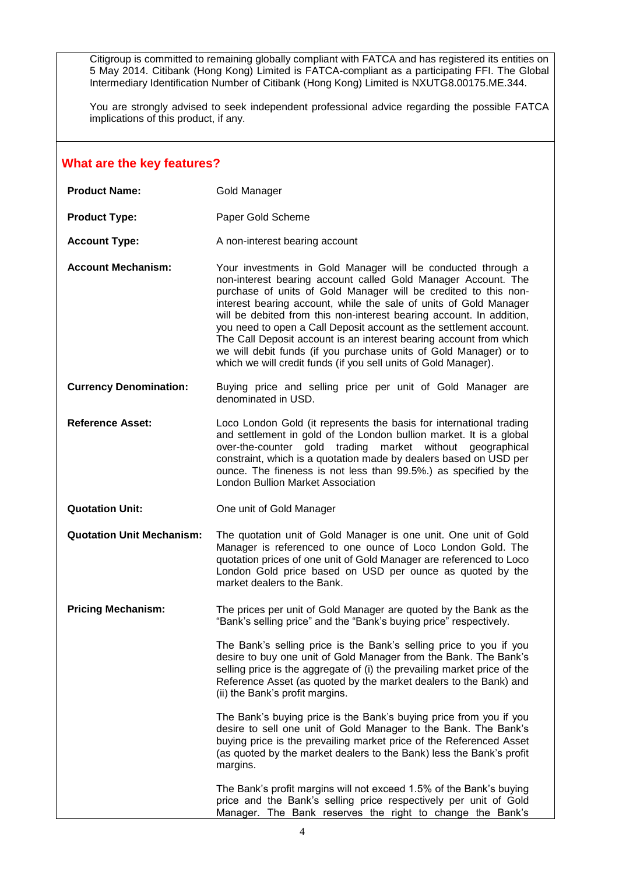Citigroup is committed to remaining globally compliant with FATCA and has registered its entities on 5 May 2014. Citibank (Hong Kong) Limited is FATCA-compliant as a participating FFI. The Global Intermediary Identification Number of Citibank (Hong Kong) Limited is NXUTG8.00175.ME.344.

You are strongly advised to seek independent professional advice regarding the possible FATCA implications of this product, if any.

#### **What are the key features?**

| <b>Product Name:</b> | Gold Manager |
|----------------------|--------------|
|                      |              |

- **Product Type:** Paper Gold Scheme
- **Account Type:** A non-interest bearing account
- **Account Mechanism:** Your investments in Gold Manager will be conducted through a non-interest bearing account called Gold Manager Account. The purchase of units of Gold Manager will be credited to this noninterest bearing account, while the sale of units of Gold Manager will be debited from this non-interest bearing account. In addition, you need to open a Call Deposit account as the settlement account. The Call Deposit account is an interest bearing account from which we will debit funds (if you purchase units of Gold Manager) or to which we will credit funds (if you sell units of Gold Manager).
- **Currency Denomination:** Buying price and selling price per unit of Gold Manager are denominated in USD.
- **Reference Asset:** Loco London Gold (it represents the basis for international trading and settlement in gold of the London bullion market. It is a global over-the-counter gold trading market without geographical constraint, which is a quotation made by dealers based on USD per ounce. The fineness is not less than 99.5%.) as specified by the London Bullion Market Association
- **Quotation Unit:** One unit of Gold Manager
- **Quotation Unit Mechanism:** The quotation unit of Gold Manager is one unit. One unit of Gold Manager is referenced to one ounce of Loco London Gold. The quotation prices of one unit of Gold Manager are referenced to Loco London Gold price based on USD per ounce as quoted by the market dealers to the Bank.
- **Pricing Mechanism:** The prices per unit of Gold Manager are quoted by the Bank as the "Bank's selling price" and the "Bank's buying price" respectively.

The Bank's selling price is the Bank's selling price to you if you desire to buy one unit of Gold Manager from the Bank. The Bank's selling price is the aggregate of (i) the prevailing market price of the Reference Asset (as quoted by the market dealers to the Bank) and (ii) the Bank's profit margins.

The Bank's buying price is the Bank's buying price from you if you desire to sell one unit of Gold Manager to the Bank. The Bank's buying price is the prevailing market price of the Referenced Asset (as quoted by the market dealers to the Bank) less the Bank's profit margins.

The Bank's profit margins will not exceed 1.5% of the Bank's buying price and the Bank's selling price respectively per unit of Gold Manager. The Bank reserves the right to change the Bank's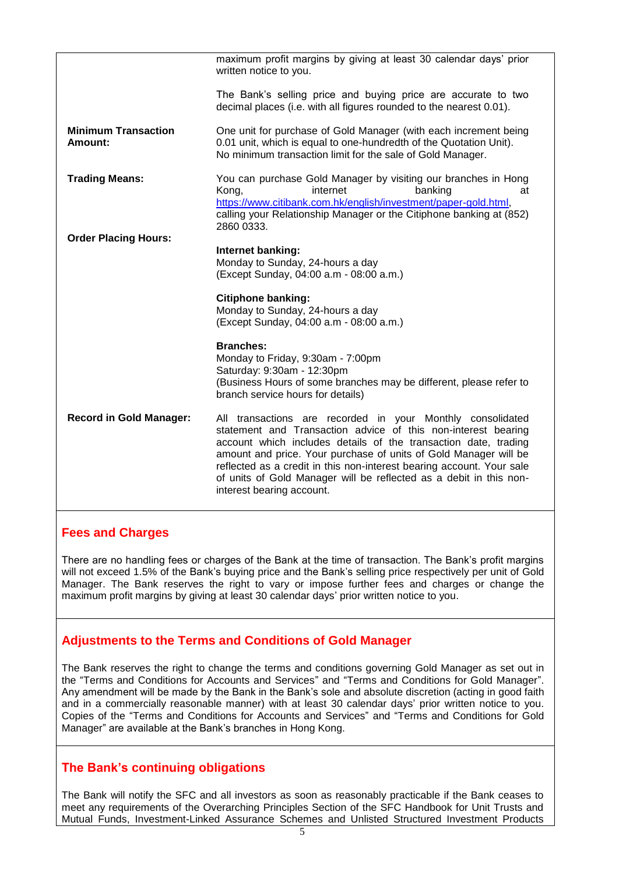|                                       | maximum profit margins by giving at least 30 calendar days' prior<br>written notice to you.                                                                                                                                                                                                                                                                                                                                                    |
|---------------------------------------|------------------------------------------------------------------------------------------------------------------------------------------------------------------------------------------------------------------------------------------------------------------------------------------------------------------------------------------------------------------------------------------------------------------------------------------------|
|                                       | The Bank's selling price and buying price are accurate to two<br>decimal places (i.e. with all figures rounded to the nearest 0.01).                                                                                                                                                                                                                                                                                                           |
| <b>Minimum Transaction</b><br>Amount: | One unit for purchase of Gold Manager (with each increment being<br>0.01 unit, which is equal to one-hundredth of the Quotation Unit).<br>No minimum transaction limit for the sale of Gold Manager.                                                                                                                                                                                                                                           |
| <b>Trading Means:</b>                 | You can purchase Gold Manager by visiting our branches in Hong<br>internet<br>banking<br>Kong,<br>at<br>https://www.citibank.com.hk/english/investment/paper-gold.html,<br>calling your Relationship Manager or the Citiphone banking at (852)<br>2860 0333.                                                                                                                                                                                   |
| <b>Order Placing Hours:</b>           | Internet banking:<br>Monday to Sunday, 24-hours a day<br>(Except Sunday, 04:00 a.m - 08:00 a.m.)                                                                                                                                                                                                                                                                                                                                               |
|                                       | <b>Citiphone banking:</b><br>Monday to Sunday, 24-hours a day<br>(Except Sunday, 04:00 a.m - 08:00 a.m.)                                                                                                                                                                                                                                                                                                                                       |
|                                       | <b>Branches:</b><br>Monday to Friday, 9:30am - 7:00pm<br>Saturday: 9:30am - 12:30pm<br>(Business Hours of some branches may be different, please refer to<br>branch service hours for details)                                                                                                                                                                                                                                                 |
| <b>Record in Gold Manager:</b>        | All transactions are recorded in your Monthly consolidated<br>statement and Transaction advice of this non-interest bearing<br>account which includes details of the transaction date, trading<br>amount and price. Your purchase of units of Gold Manager will be<br>reflected as a credit in this non-interest bearing account. Your sale<br>of units of Gold Manager will be reflected as a debit in this non-<br>interest bearing account. |

## **Fees and Charges**

There are no handling fees or charges of the Bank at the time of transaction. The Bank's profit margins will not exceed 1.5% of the Bank's buying price and the Bank's selling price respectively per unit of Gold Manager. The Bank reserves the right to vary or impose further fees and charges or change the maximum profit margins by giving at least 30 calendar days' prior written notice to you.

## **Adjustments to the Terms and Conditions of Gold Manager**

The Bank reserves the right to change the terms and conditions governing Gold Manager as set out in the "Terms and Conditions for Accounts and Services" and "Terms and Conditions for Gold Manager". Any amendment will be made by the Bank in the Bank's sole and absolute discretion (acting in good faith and in a commercially reasonable manner) with at least 30 calendar days' prior written notice to you. Copies of the "Terms and Conditions for Accounts and Services" and "Terms and Conditions for Gold Manager" are available at the Bank's branches in Hong Kong.

## **The Bank's continuing obligations**

The Bank will notify the SFC and all investors as soon as reasonably practicable if the Bank ceases to meet any requirements of the Overarching Principles Section of the SFC Handbook for Unit Trusts and Mutual Funds, Investment-Linked Assurance Schemes and Unlisted Structured Investment Products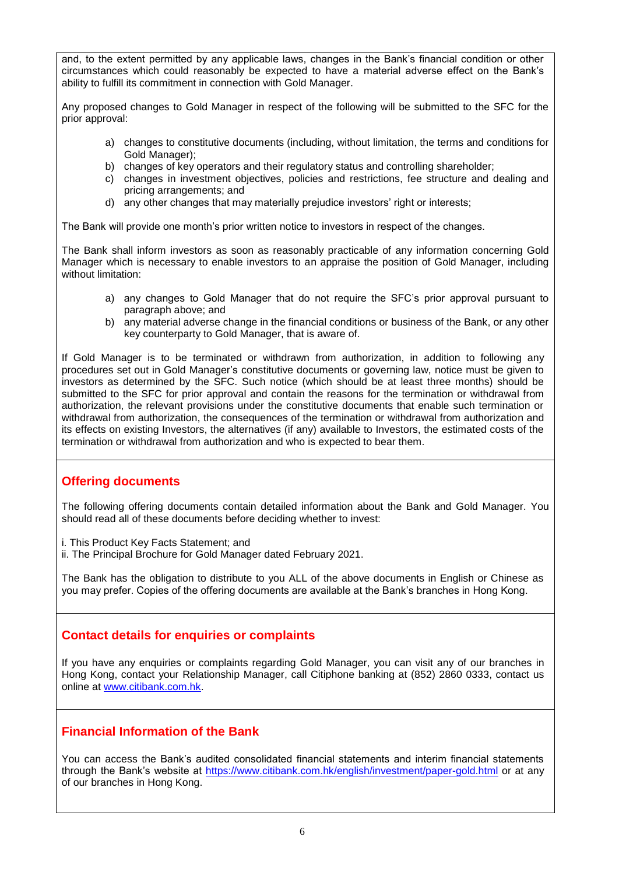and, to the extent permitted by any applicable laws, changes in the Bank's financial condition or other circumstances which could reasonably be expected to have a material adverse effect on the Bank's ability to fulfill its commitment in connection with Gold Manager.

Any proposed changes to Gold Manager in respect of the following will be submitted to the SFC for the prior approval:

- a) changes to constitutive documents (including, without limitation, the terms and conditions for Gold Manager);
- b) changes of key operators and their regulatory status and controlling shareholder;
- c) changes in investment objectives, policies and restrictions, fee structure and dealing and pricing arrangements; and
- d) any other changes that may materially prejudice investors' right or interests;

The Bank will provide one month's prior written notice to investors in respect of the changes.

The Bank shall inform investors as soon as reasonably practicable of any information concerning Gold Manager which is necessary to enable investors to an appraise the position of Gold Manager, including without limitation:

- a) any changes to Gold Manager that do not require the SFC's prior approval pursuant to paragraph above; and
- b) any material adverse change in the financial conditions or business of the Bank, or any other key counterparty to Gold Manager, that is aware of.

If Gold Manager is to be terminated or withdrawn from authorization, in addition to following any procedures set out in Gold Manager's constitutive documents or governing law, notice must be given to investors as determined by the SFC. Such notice (which should be at least three months) should be submitted to the SFC for prior approval and contain the reasons for the termination or withdrawal from authorization, the relevant provisions under the constitutive documents that enable such termination or withdrawal from authorization, the consequences of the termination or withdrawal from authorization and its effects on existing Investors, the alternatives (if any) available to Investors, the estimated costs of the termination or withdrawal from authorization and who is expected to bear them.

## **Offering documents**

The following offering documents contain detailed information about the Bank and Gold Manager. You should read all of these documents before deciding whether to invest:

- i. This Product Key Facts Statement; and
- ii. The Principal Brochure for Gold Manager dated February 2021.

The Bank has the obligation to distribute to you ALL of the above documents in English or Chinese as you may prefer. Copies of the offering documents are available at the Bank's branches in Hong Kong.

## **Contact details for enquiries or complaints**

If you have any enquiries or complaints regarding Gold Manager, you can visit any of our branches in Hong Kong, contact your Relationship Manager, call Citiphone banking at (852) 2860 0333, contact us online at [www.citibank.com.hk.](http://www.citibank.com.hk/)

## **Financial Information of the Bank**

You can access the Bank's audited consolidated financial statements and interim financial statements through the Bank's website at<https://www.citibank.com.hk/english/investment/paper-gold.html> or at any of our branches in Hong Kong.